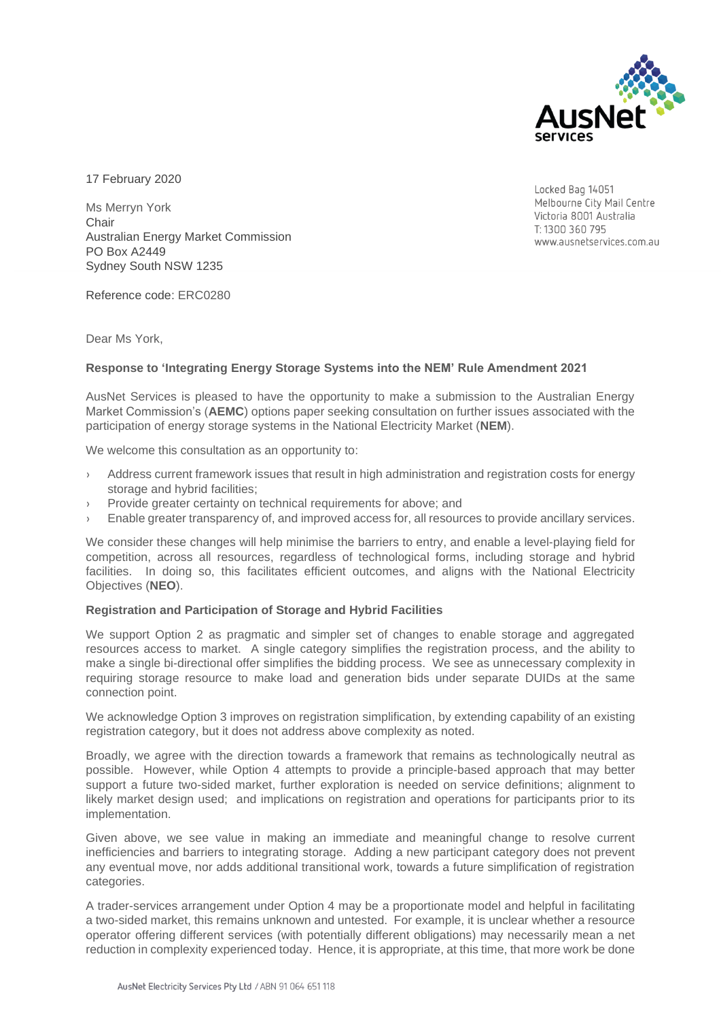

17 February 2020

Ms Merryn York **Chair** Australian Energy Market Commission PO Box A2449 Sydney South NSW 1235

Reference code: ERC0280

Dear Ms York,

# **Response to 'Integrating Energy Storage Systems into the NEM' Rule Amendment 2021**

AusNet Services is pleased to have the opportunity to make a submission to the Australian Energy Market Commission's (**AEMC**) options paper seeking consultation on further issues associated with the participation of energy storage systems in the National Electricity Market (**NEM**).

We welcome this consultation as an opportunity to:

- Address current framework issues that result in high administration and registration costs for energy storage and hybrid facilities;
- › Provide greater certainty on technical requirements for above; and
- Enable greater transparency of, and improved access for, all resources to provide ancillary services.

We consider these changes will help minimise the barriers to entry, and enable a level-playing field for competition, across all resources, regardless of technological forms, including storage and hybrid facilities. In doing so, this facilitates efficient outcomes, and aligns with the National Electricity Objectives (**NEO**).

## **Registration and Participation of Storage and Hybrid Facilities**

We support Option 2 as pragmatic and simpler set of changes to enable storage and aggregated resources access to market. A single category simplifies the registration process, and the ability to make a single bi-directional offer simplifies the bidding process. We see as unnecessary complexity in requiring storage resource to make load and generation bids under separate DUIDs at the same connection point.

We acknowledge Option 3 improves on registration simplification, by extending capability of an existing registration category, but it does not address above complexity as noted.

Broadly, we agree with the direction towards a framework that remains as technologically neutral as possible. However, while Option 4 attempts to provide a principle-based approach that may better support a future two-sided market, further exploration is needed on service definitions; alignment to likely market design used; and implications on registration and operations for participants prior to its implementation.

Given above, we see value in making an immediate and meaningful change to resolve current inefficiencies and barriers to integrating storage. Adding a new participant category does not prevent any eventual move, nor adds additional transitional work, towards a future simplification of registration categories.

A trader-services arrangement under Option 4 may be a proportionate model and helpful in facilitating a two-sided market, this remains unknown and untested. For example, it is unclear whether a resource operator offering different services (with potentially different obligations) may necessarily mean a net reduction in complexity experienced today. Hence, it is appropriate, at this time, that more work be done

Locked Bag 14051 Melbourne City Mail Centre Victoria 8001 Australia T: 1300 360 795 www.ausnetservices.com.au